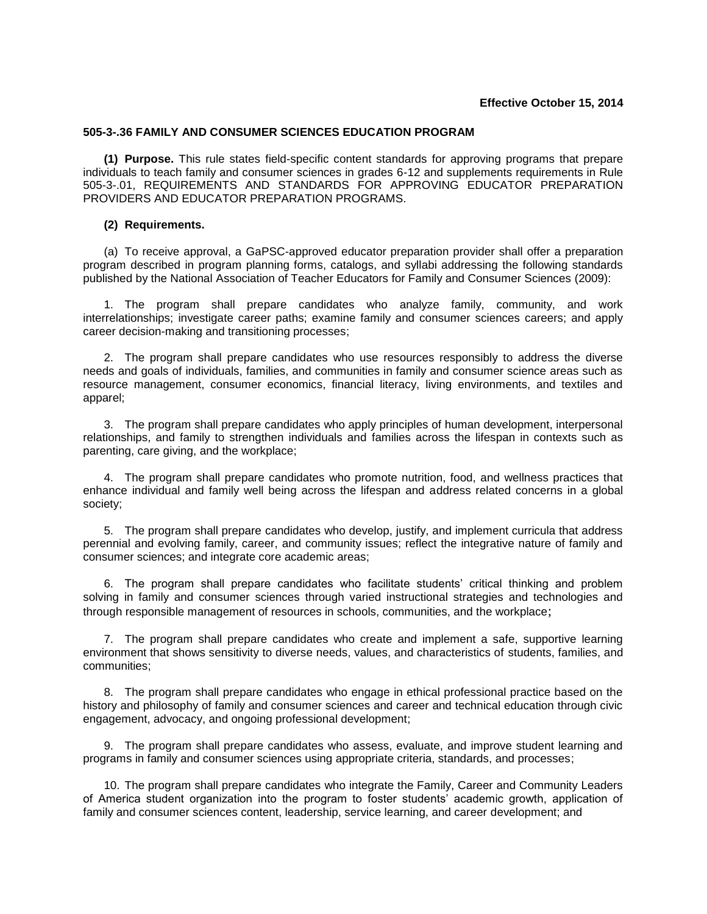## **Effective October 15, 2014**

## **505-3-.36 FAMILY AND CONSUMER SCIENCES EDUCATION PROGRAM**

**(1) Purpose.** This rule states field-specific content standards for approving programs that prepare individuals to teach family and consumer sciences in grades 6-12 and supplements requirements in Rule 505-3-.01, REQUIREMENTS AND STANDARDS FOR APPROVING EDUCATOR PREPARATION PROVIDERS AND EDUCATOR PREPARATION PROGRAMS.

## **(2) Requirements.**

(a) To receive approval, a GaPSC-approved educator preparation provider shall offer a preparation program described in program planning forms, catalogs, and syllabi addressing the following standards published by the National Association of Teacher Educators for Family and Consumer Sciences (2009):

1. The program shall prepare candidates who analyze family, community, and work interrelationships; investigate career paths; examine family and consumer sciences careers; and apply career decision-making and transitioning processes;

2. The program shall prepare candidates who use resources responsibly to address the diverse needs and goals of individuals, families, and communities in family and consumer science areas such as resource management, consumer economics, financial literacy, living environments, and textiles and apparel;

3. The program shall prepare candidates who apply principles of human development, interpersonal relationships, and family to strengthen individuals and families across the lifespan in contexts such as parenting, care giving, and the workplace;

4. The program shall prepare candidates who promote nutrition, food, and wellness practices that enhance individual and family well being across the lifespan and address related concerns in a global society;

5. The program shall prepare candidates who develop, justify, and implement curricula that address perennial and evolving family, career, and community issues; reflect the integrative nature of family and consumer sciences; and integrate core academic areas;

6. The program shall prepare candidates who facilitate students' critical thinking and problem solving in family and consumer sciences through varied instructional strategies and technologies and through responsible management of resources in schools, communities, and the workplace;

7. The program shall prepare candidates who create and implement a safe, supportive learning environment that shows sensitivity to diverse needs, values, and characteristics of students, families, and communities;

8. The program shall prepare candidates who engage in ethical professional practice based on the history and philosophy of family and consumer sciences and career and technical education through civic engagement, advocacy, and ongoing professional development;

9. The program shall prepare candidates who assess, evaluate, and improve student learning and programs in family and consumer sciences using appropriate criteria, standards, and processes;

10. The program shall prepare candidates who integrate the Family, Career and Community Leaders of America student organization into the program to foster students' academic growth, application of family and consumer sciences content, leadership, service learning, and career development; and